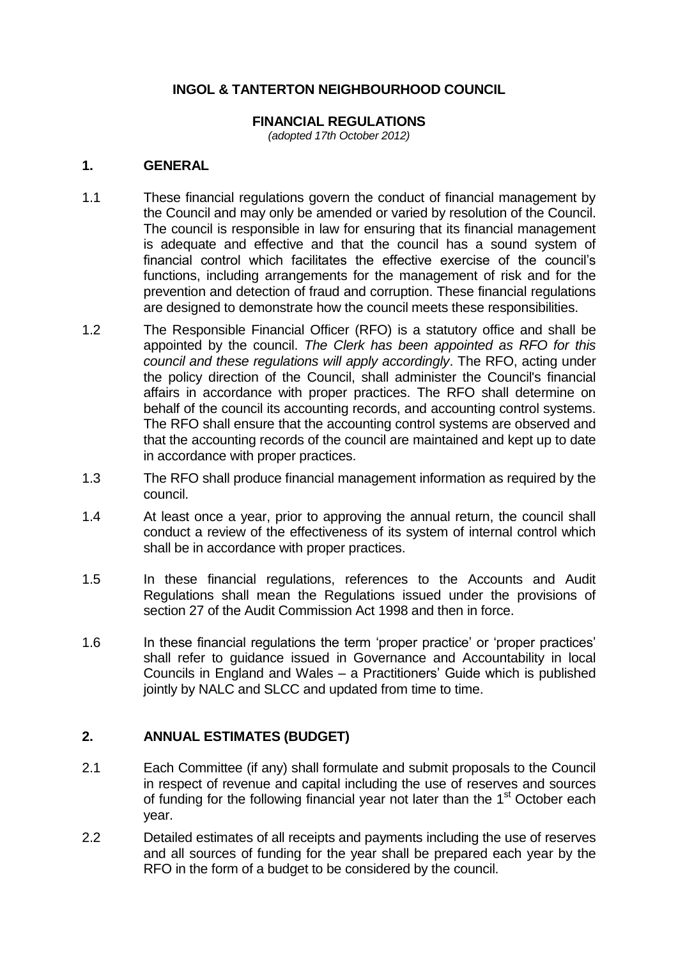# **INGOL & TANTERTON NEIGHBOURHOOD COUNCIL**

#### **FINANCIAL REGULATIONS**

*(adopted 17th October 2012)*

#### **1. GENERAL**

- 1.1 These financial regulations govern the conduct of financial management by the Council and may only be amended or varied by resolution of the Council. The council is responsible in law for ensuring that its financial management is adequate and effective and that the council has a sound system of financial control which facilitates the effective exercise of the council's functions, including arrangements for the management of risk and for the prevention and detection of fraud and corruption. These financial regulations are designed to demonstrate how the council meets these responsibilities.
- 1.2 The Responsible Financial Officer (RFO) is a statutory office and shall be appointed by the council. *The Clerk has been appointed as RFO for this council and these regulations will apply accordingly*. The RFO, acting under the policy direction of the Council, shall administer the Council's financial affairs in accordance with proper practices. The RFO shall determine on behalf of the council its accounting records, and accounting control systems. The RFO shall ensure that the accounting control systems are observed and that the accounting records of the council are maintained and kept up to date in accordance with proper practices.
- 1.3 The RFO shall produce financial management information as required by the council.
- 1.4 At least once a year, prior to approving the annual return, the council shall conduct a review of the effectiveness of its system of internal control which shall be in accordance with proper practices.
- 1.5 In these financial regulations, references to the Accounts and Audit Regulations shall mean the Regulations issued under the provisions of section 27 of the Audit Commission Act 1998 and then in force.
- 1.6 In these financial regulations the term 'proper practice' or 'proper practices' shall refer to guidance issued in Governance and Accountability in local Councils in England and Wales – a Practitioners' Guide which is published jointly by NALC and SLCC and updated from time to time.

#### **2. ANNUAL ESTIMATES (BUDGET)**

- 2.1 Each Committee (if any) shall formulate and submit proposals to the Council in respect of revenue and capital including the use of reserves and sources of funding for the following financial year not later than the 1<sup>st</sup> October each year.
- 2.2 Detailed estimates of all receipts and payments including the use of reserves and all sources of funding for the year shall be prepared each year by the RFO in the form of a budget to be considered by the council.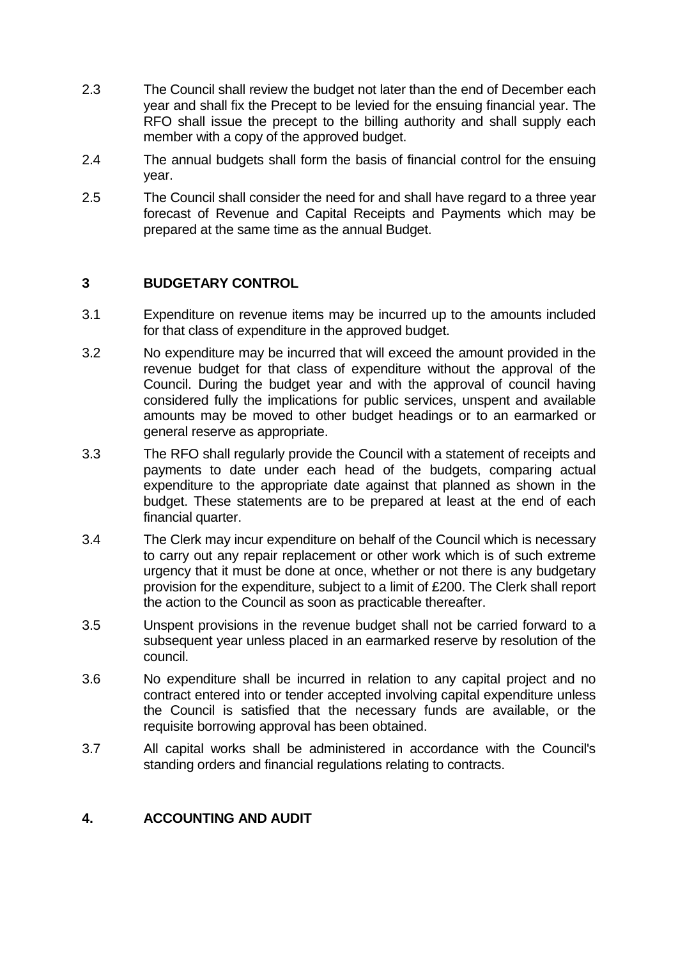- 2.3 The Council shall review the budget not later than the end of December each year and shall fix the Precept to be levied for the ensuing financial year. The RFO shall issue the precept to the billing authority and shall supply each member with a copy of the approved budget.
- 2.4 The annual budgets shall form the basis of financial control for the ensuing year.
- 2.5 The Council shall consider the need for and shall have regard to a three year forecast of Revenue and Capital Receipts and Payments which may be prepared at the same time as the annual Budget.

#### **3 BUDGETARY CONTROL**

- 3.1 Expenditure on revenue items may be incurred up to the amounts included for that class of expenditure in the approved budget.
- 3.2 No expenditure may be incurred that will exceed the amount provided in the revenue budget for that class of expenditure without the approval of the Council. During the budget year and with the approval of council having considered fully the implications for public services, unspent and available amounts may be moved to other budget headings or to an earmarked or general reserve as appropriate.
- 3.3 The RFO shall regularly provide the Council with a statement of receipts and payments to date under each head of the budgets, comparing actual expenditure to the appropriate date against that planned as shown in the budget. These statements are to be prepared at least at the end of each financial quarter.
- 3.4 The Clerk may incur expenditure on behalf of the Council which is necessary to carry out any repair replacement or other work which is of such extreme urgency that it must be done at once, whether or not there is any budgetary provision for the expenditure, subject to a limit of £200. The Clerk shall report the action to the Council as soon as practicable thereafter.
- 3.5 Unspent provisions in the revenue budget shall not be carried forward to a subsequent year unless placed in an earmarked reserve by resolution of the council.
- 3.6 No expenditure shall be incurred in relation to any capital project and no contract entered into or tender accepted involving capital expenditure unless the Council is satisfied that the necessary funds are available, or the requisite borrowing approval has been obtained.
- 3.7 All capital works shall be administered in accordance with the Council's standing orders and financial regulations relating to contracts.

#### **4. ACCOUNTING AND AUDIT**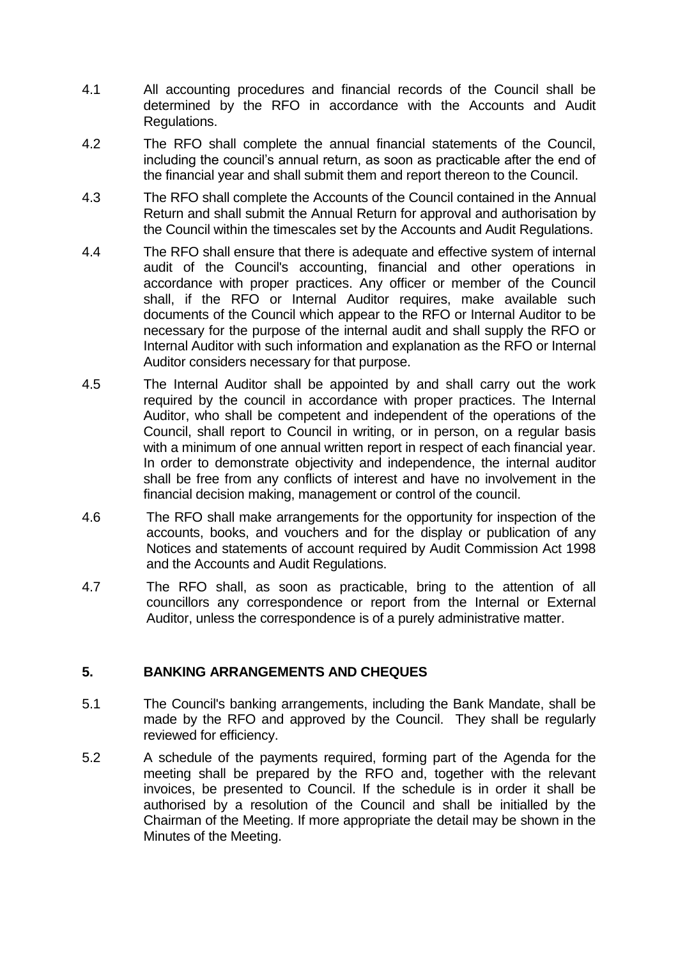- 4.1 All accounting procedures and financial records of the Council shall be determined by the RFO in accordance with the Accounts and Audit Regulations.
- 4.2 The RFO shall complete the annual financial statements of the Council, including the council's annual return, as soon as practicable after the end of the financial year and shall submit them and report thereon to the Council.
- 4.3 The RFO shall complete the Accounts of the Council contained in the Annual Return and shall submit the Annual Return for approval and authorisation by the Council within the timescales set by the Accounts and Audit Regulations.
- 4.4 The RFO shall ensure that there is adequate and effective system of internal audit of the Council's accounting, financial and other operations in accordance with proper practices. Any officer or member of the Council shall, if the RFO or Internal Auditor requires, make available such documents of the Council which appear to the RFO or Internal Auditor to be necessary for the purpose of the internal audit and shall supply the RFO or Internal Auditor with such information and explanation as the RFO or Internal Auditor considers necessary for that purpose.
- 4.5 The Internal Auditor shall be appointed by and shall carry out the work required by the council in accordance with proper practices. The Internal Auditor, who shall be competent and independent of the operations of the Council, shall report to Council in writing, or in person, on a regular basis with a minimum of one annual written report in respect of each financial year. In order to demonstrate objectivity and independence, the internal auditor shall be free from any conflicts of interest and have no involvement in the financial decision making, management or control of the council.
- 4.6 The RFO shall make arrangements for the opportunity for inspection of the accounts, books, and vouchers and for the display or publication of any Notices and statements of account required by Audit Commission Act 1998 and the Accounts and Audit Regulations.
- 4.7 The RFO shall, as soon as practicable, bring to the attention of all councillors any correspondence or report from the Internal or External Auditor, unless the correspondence is of a purely administrative matter.

#### **5. BANKING ARRANGEMENTS AND CHEQUES**

- 5.1 The Council's banking arrangements, including the Bank Mandate, shall be made by the RFO and approved by the Council. They shall be regularly reviewed for efficiency.
- 5.2 A schedule of the payments required, forming part of the Agenda for the meeting shall be prepared by the RFO and, together with the relevant invoices, be presented to Council. If the schedule is in order it shall be authorised by a resolution of the Council and shall be initialled by the Chairman of the Meeting. If more appropriate the detail may be shown in the Minutes of the Meeting.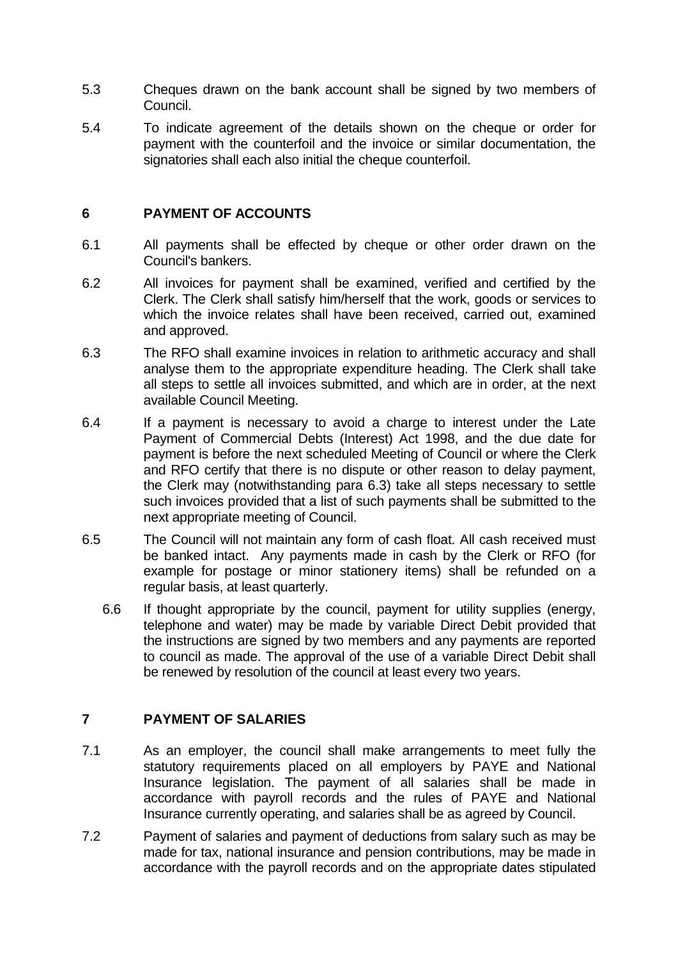- 5.3 Cheques drawn on the bank account shall be signed by two members of Council.
- 5.4 To indicate agreement of the details shown on the cheque or order for payment with the counterfoil and the invoice or similar documentation, the signatories shall each also initial the cheque counterfoil.

### **6 PAYMENT OF ACCOUNTS**

- 6.1 All payments shall be effected by cheque or other order drawn on the Council's bankers.
- 6.2 All invoices for payment shall be examined, verified and certified by the Clerk. The Clerk shall satisfy him/herself that the work, goods or services to which the invoice relates shall have been received, carried out, examined and approved.
- 6.3 The RFO shall examine invoices in relation to arithmetic accuracy and shall analyse them to the appropriate expenditure heading. The Clerk shall take all steps to settle all invoices submitted, and which are in order, at the next available Council Meeting.
- 6.4 If a payment is necessary to avoid a charge to interest under the Late Payment of Commercial Debts (Interest) Act 1998, and the due date for payment is before the next scheduled Meeting of Council or where the Clerk and RFO certify that there is no dispute or other reason to delay payment, the Clerk may (notwithstanding para 6.3) take all steps necessary to settle such invoices provided that a list of such payments shall be submitted to the next appropriate meeting of Council.
- 6.5 The Council will not maintain any form of cash float. All cash received must be banked intact. Any payments made in cash by the Clerk or RFO (for example for postage or minor stationery items) shall be refunded on a regular basis, at least quarterly.
	- 6.6 If thought appropriate by the council, payment for utility supplies (energy, telephone and water) may be made by variable Direct Debit provided that the instructions are signed by two members and any payments are reported to council as made. The approval of the use of a variable Direct Debit shall be renewed by resolution of the council at least every two years.

# **7 PAYMENT OF SALARIES**

- 7.1 As an employer, the council shall make arrangements to meet fully the statutory requirements placed on all employers by PAYE and National Insurance legislation. The payment of all salaries shall be made in accordance with payroll records and the rules of PAYE and National Insurance currently operating, and salaries shall be as agreed by Council.
- 7.2 Payment of salaries and payment of deductions from salary such as may be made for tax, national insurance and pension contributions, may be made in accordance with the payroll records and on the appropriate dates stipulated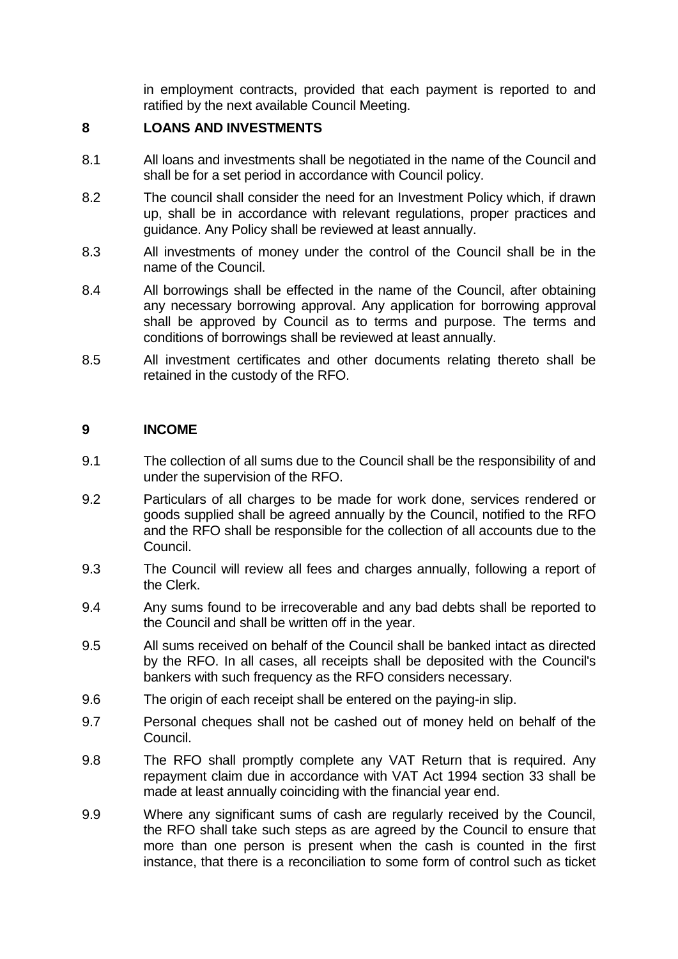in employment contracts, provided that each payment is reported to and ratified by the next available Council Meeting.

# **8 LOANS AND INVESTMENTS**

- 8.1 All loans and investments shall be negotiated in the name of the Council and shall be for a set period in accordance with Council policy.
- 8.2 The council shall consider the need for an Investment Policy which, if drawn up, shall be in accordance with relevant regulations, proper practices and guidance. Any Policy shall be reviewed at least annually.
- 8.3 All investments of money under the control of the Council shall be in the name of the Council.
- 8.4 All borrowings shall be effected in the name of the Council, after obtaining any necessary borrowing approval. Any application for borrowing approval shall be approved by Council as to terms and purpose. The terms and conditions of borrowings shall be reviewed at least annually.
- 8.5 All investment certificates and other documents relating thereto shall be retained in the custody of the RFO.

#### **9 INCOME**

- 9.1 The collection of all sums due to the Council shall be the responsibility of and under the supervision of the RFO.
- 9.2 Particulars of all charges to be made for work done, services rendered or goods supplied shall be agreed annually by the Council, notified to the RFO and the RFO shall be responsible for the collection of all accounts due to the Council.
- 9.3 The Council will review all fees and charges annually, following a report of the Clerk.
- 9.4 Any sums found to be irrecoverable and any bad debts shall be reported to the Council and shall be written off in the year.
- 9.5 All sums received on behalf of the Council shall be banked intact as directed by the RFO. In all cases, all receipts shall be deposited with the Council's bankers with such frequency as the RFO considers necessary.
- 9.6 The origin of each receipt shall be entered on the paying-in slip.
- 9.7 Personal cheques shall not be cashed out of money held on behalf of the Council.
- 9.8 The RFO shall promptly complete any VAT Return that is required. Any repayment claim due in accordance with VAT Act 1994 section 33 shall be made at least annually coinciding with the financial year end.
- 9.9 Where any significant sums of cash are regularly received by the Council, the RFO shall take such steps as are agreed by the Council to ensure that more than one person is present when the cash is counted in the first instance, that there is a reconciliation to some form of control such as ticket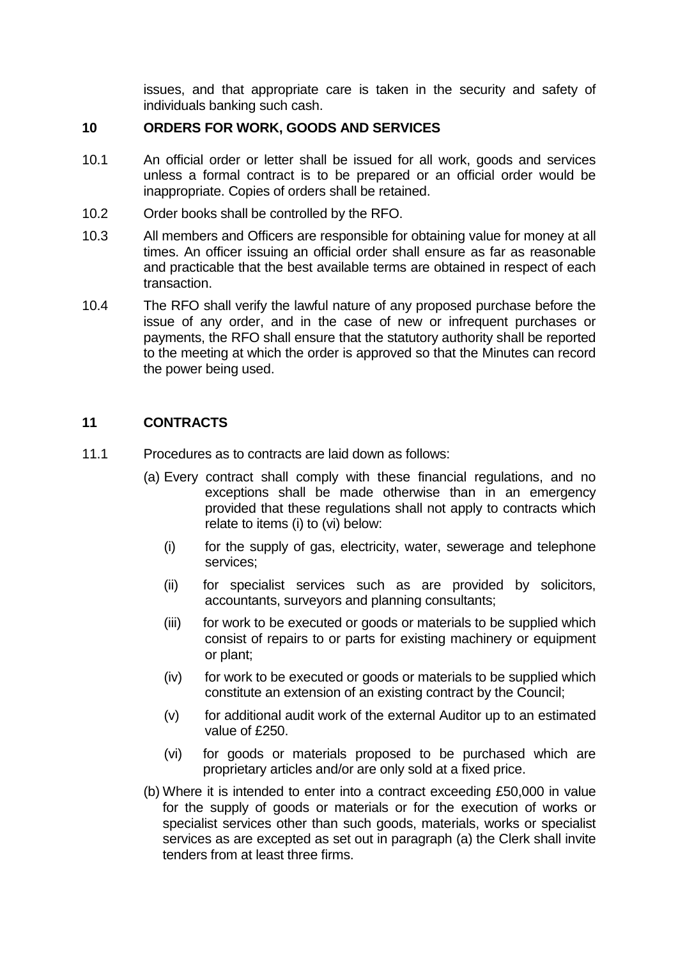issues, and that appropriate care is taken in the security and safety of individuals banking such cash.

### **10 ORDERS FOR WORK, GOODS AND SERVICES**

- 10.1 An official order or letter shall be issued for all work, goods and services unless a formal contract is to be prepared or an official order would be inappropriate. Copies of orders shall be retained.
- 10.2 Order books shall be controlled by the RFO.
- 10.3 All members and Officers are responsible for obtaining value for money at all times. An officer issuing an official order shall ensure as far as reasonable and practicable that the best available terms are obtained in respect of each transaction.
- 10.4 The RFO shall verify the lawful nature of any proposed purchase before the issue of any order, and in the case of new or infrequent purchases or payments, the RFO shall ensure that the statutory authority shall be reported to the meeting at which the order is approved so that the Minutes can record the power being used.

# **11 CONTRACTS**

- 11.1 Procedures as to contracts are laid down as follows:
	- (a) Every contract shall comply with these financial regulations, and no exceptions shall be made otherwise than in an emergency provided that these regulations shall not apply to contracts which relate to items (i) to (vi) below:
		- (i) for the supply of gas, electricity, water, sewerage and telephone services;
		- (ii) for specialist services such as are provided by solicitors, accountants, surveyors and planning consultants;
		- (iii) for work to be executed or goods or materials to be supplied which consist of repairs to or parts for existing machinery or equipment or plant;
		- (iv) for work to be executed or goods or materials to be supplied which constitute an extension of an existing contract by the Council;
		- (v) for additional audit work of the external Auditor up to an estimated value of £250.
		- (vi) for goods or materials proposed to be purchased which are proprietary articles and/or are only sold at a fixed price.
	- (b) Where it is intended to enter into a contract exceeding £50,000 in value for the supply of goods or materials or for the execution of works or specialist services other than such goods, materials, works or specialist services as are excepted as set out in paragraph (a) the Clerk shall invite tenders from at least three firms.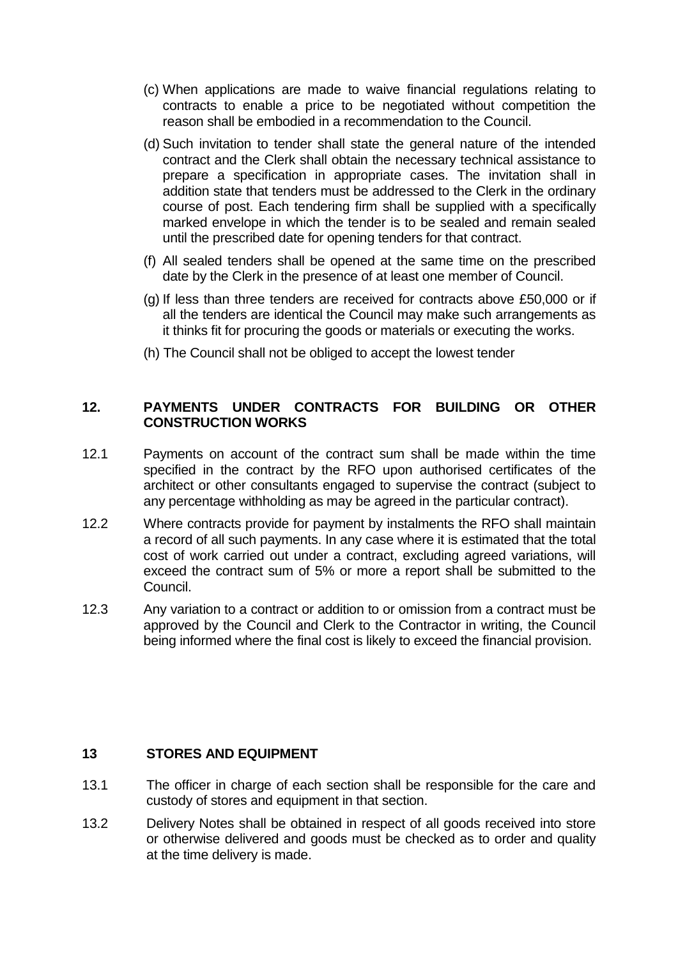- (c) When applications are made to waive financial regulations relating to contracts to enable a price to be negotiated without competition the reason shall be embodied in a recommendation to the Council.
- (d) Such invitation to tender shall state the general nature of the intended contract and the Clerk shall obtain the necessary technical assistance to prepare a specification in appropriate cases. The invitation shall in addition state that tenders must be addressed to the Clerk in the ordinary course of post. Each tendering firm shall be supplied with a specifically marked envelope in which the tender is to be sealed and remain sealed until the prescribed date for opening tenders for that contract.
- (f) All sealed tenders shall be opened at the same time on the prescribed date by the Clerk in the presence of at least one member of Council.
- (g) If less than three tenders are received for contracts above £50,000 or if all the tenders are identical the Council may make such arrangements as it thinks fit for procuring the goods or materials or executing the works.
- (h) The Council shall not be obliged to accept the lowest tender

### **12. PAYMENTS UNDER CONTRACTS FOR BUILDING OR OTHER CONSTRUCTION WORKS**

- 12.1 Payments on account of the contract sum shall be made within the time specified in the contract by the RFO upon authorised certificates of the architect or other consultants engaged to supervise the contract (subject to any percentage withholding as may be agreed in the particular contract).
- 12.2 Where contracts provide for payment by instalments the RFO shall maintain a record of all such payments. In any case where it is estimated that the total cost of work carried out under a contract, excluding agreed variations, will exceed the contract sum of 5% or more a report shall be submitted to the Council.
- 12.3 Any variation to a contract or addition to or omission from a contract must be approved by the Council and Clerk to the Contractor in writing, the Council being informed where the final cost is likely to exceed the financial provision.

#### **13 STORES AND EQUIPMENT**

- 13.1 The officer in charge of each section shall be responsible for the care and custody of stores and equipment in that section.
- 13.2 Delivery Notes shall be obtained in respect of all goods received into store or otherwise delivered and goods must be checked as to order and quality at the time delivery is made.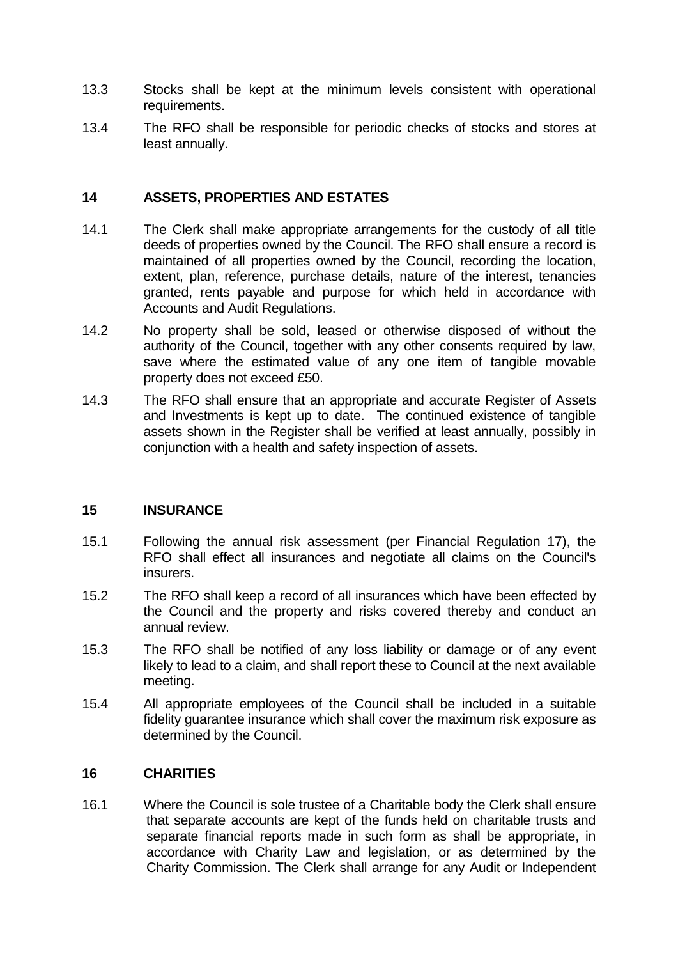- 13.3 Stocks shall be kept at the minimum levels consistent with operational requirements.
- 13.4 The RFO shall be responsible for periodic checks of stocks and stores at least annually.

#### **14 ASSETS, PROPERTIES AND ESTATES**

- 14.1 The Clerk shall make appropriate arrangements for the custody of all title deeds of properties owned by the Council. The RFO shall ensure a record is maintained of all properties owned by the Council, recording the location, extent, plan, reference, purchase details, nature of the interest, tenancies granted, rents payable and purpose for which held in accordance with Accounts and Audit Regulations.
- 14.2 No property shall be sold, leased or otherwise disposed of without the authority of the Council, together with any other consents required by law, save where the estimated value of any one item of tangible movable property does not exceed £50.
- 14.3 The RFO shall ensure that an appropriate and accurate Register of Assets and Investments is kept up to date. The continued existence of tangible assets shown in the Register shall be verified at least annually, possibly in conjunction with a health and safety inspection of assets.

#### **15 INSURANCE**

- 15.1 Following the annual risk assessment (per Financial Regulation 17), the RFO shall effect all insurances and negotiate all claims on the Council's insurers.
- 15.2 The RFO shall keep a record of all insurances which have been effected by the Council and the property and risks covered thereby and conduct an annual review.
- 15.3 The RFO shall be notified of any loss liability or damage or of any event likely to lead to a claim, and shall report these to Council at the next available meeting.
- 15.4 All appropriate employees of the Council shall be included in a suitable fidelity guarantee insurance which shall cover the maximum risk exposure as determined by the Council.

#### **16 CHARITIES**

16.1 Where the Council is sole trustee of a Charitable body the Clerk shall ensure that separate accounts are kept of the funds held on charitable trusts and separate financial reports made in such form as shall be appropriate, in accordance with Charity Law and legislation, or as determined by the Charity Commission. The Clerk shall arrange for any Audit or Independent